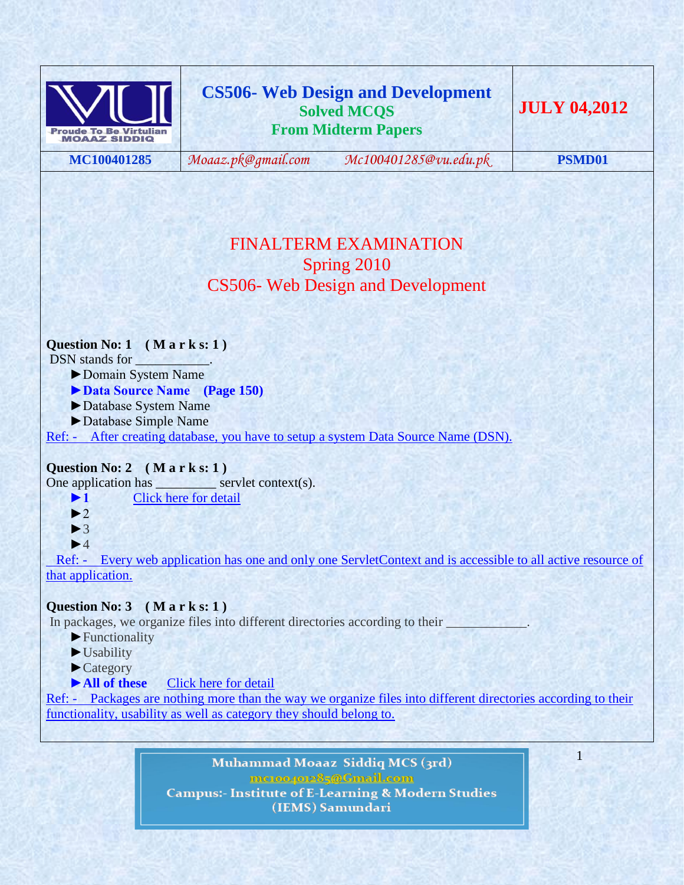

**MC100401285** *[Moaaz.pk@gmail.com](mailto:Moaaz.pk@gmail.com) [Mc100401285@vu.edu.pk](mailto:Mc100401285@vu.edu.pk)* **PSMD01**

1

# FINALTERM EXAMINATION Spring 2010 CS506- Web Design and Development

### **Question No: 1 ( M a r k s: 1 )**

DSN stands for

- ►Domain System Name
- **►Data Source Name (Page 150)**
- ►Database System Name
- ►Database Simple Name
- Ref: After creating database, you have to setup a system Data Source Name (DSN).

### **Question No: 2 ( M a r k s: 1 )**

One application has servlet context(s).

- **►1** [Click here for detail](http://www.allapplabs.com/interview_questions/servlet_interview_questions.htm)
- $\blacktriangleright$  2
- $\blacktriangleright$  3
- $\blacktriangleright$ 4

 Ref: - Every web application has one and only one ServletContext and is accessible to all active resource of that application.

### **Question No: 3 ( M a r k s: 1 )**

In packages, we organize files into different directories according to their

- ►Functionality
- ►Usability
- ►Category
- ►**All of these** [Click here for detail](http://www.jarticles.com/package/package_eng.html)

Ref: - Packages are nothing more than the way we organize files into different directories according to their functionality, usability as well as category they should belong to.

> Muhammad Moaaz Siddiq MCS (3rd) metoopote85@Gmail.com **Campus:- Institute of E-Learning & Modern Studies** (IEMS) Samundari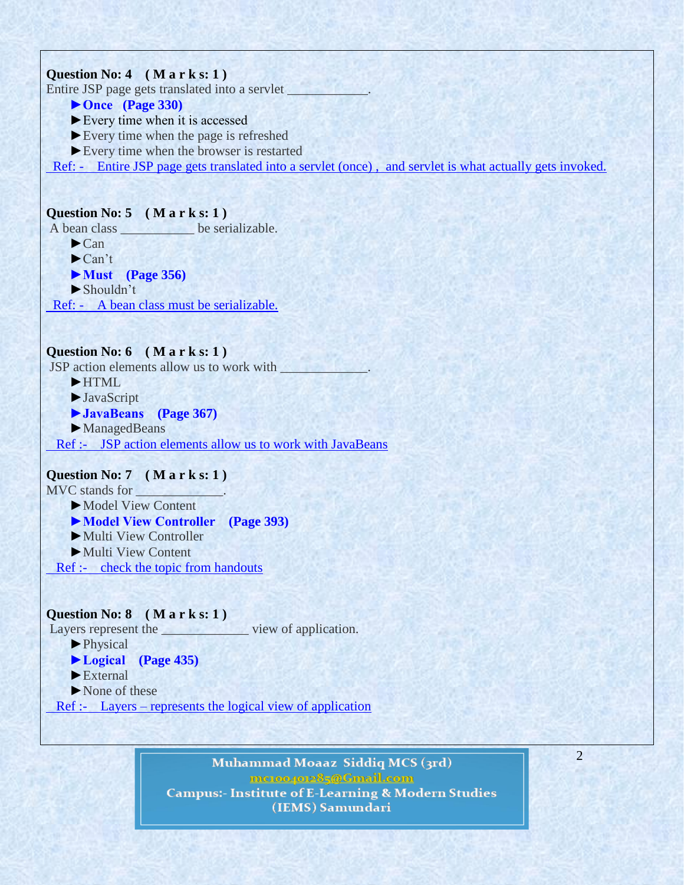

Ref :- Layers – represents the logical view of application

Muhammad Moaaz Siddiq MCS (3rd) metoopote85@Gmail.com **Campus:- Institute of E-Learning & Modern Studies** (IEMS) Samundari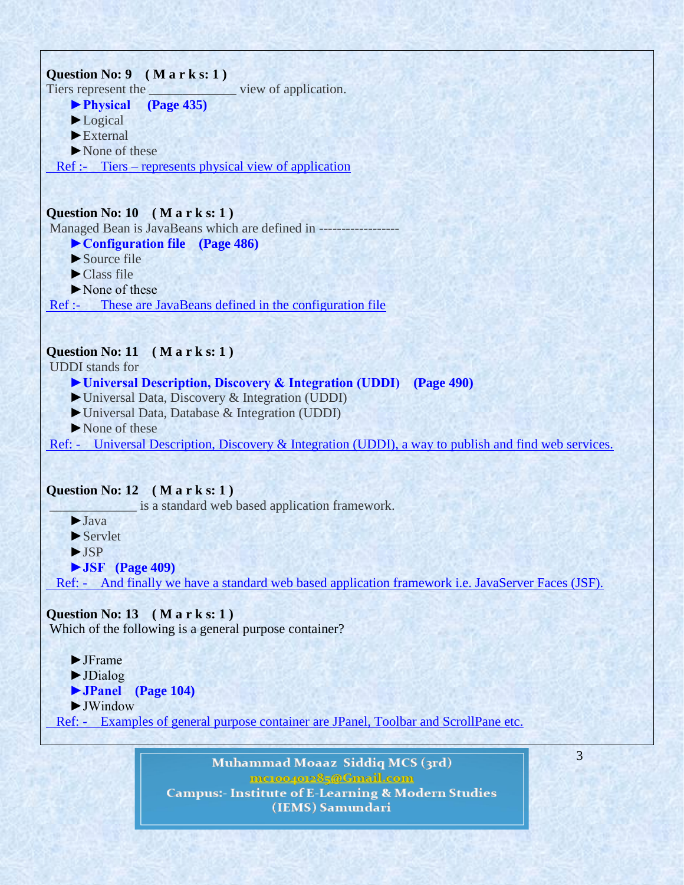

Muhammad Moaaz Siddiq MCS (3rd) metoopote85@Gmail.com **Campus:- Institute of E-Learning & Modern Studies** (IEMS) Samundari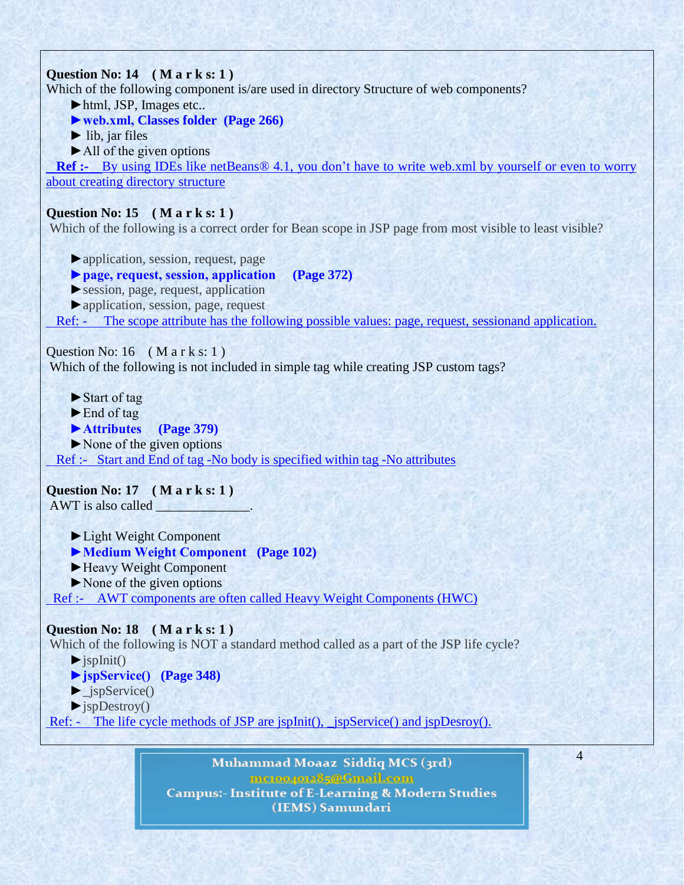

Muhammad Moaaz Siddiq MCS (3rd) metoopote85@Gmail.com **Campus:- Institute of E-Learning & Modern Studies** (IEMS) Samundari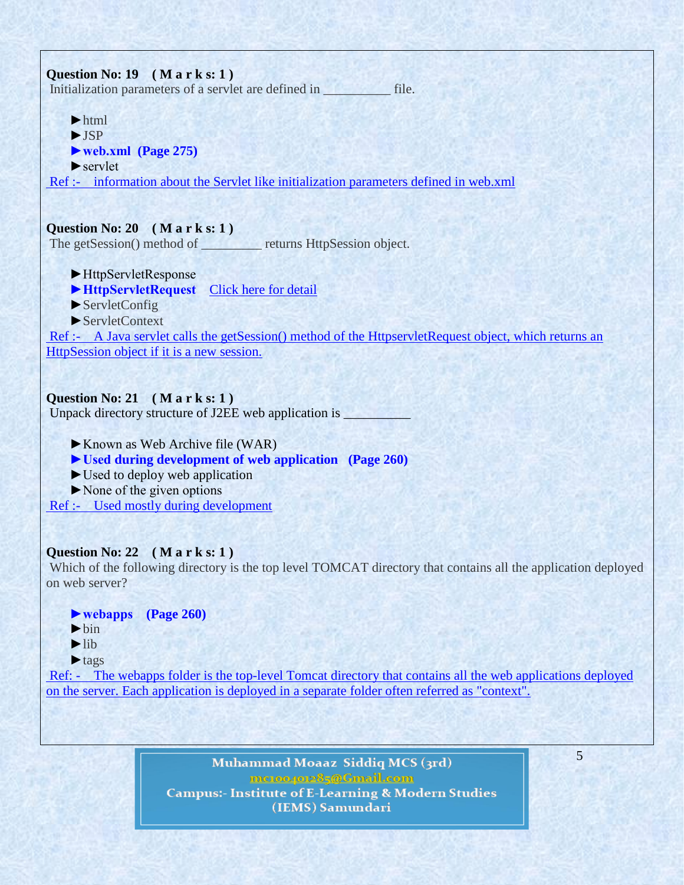

Muhammad Moaaz Siddiq MCS (3rd) mc.compoz&5@Cmail.com **Campus:- Institute of E-Learning & Modern Studies** (IEMS) Samundari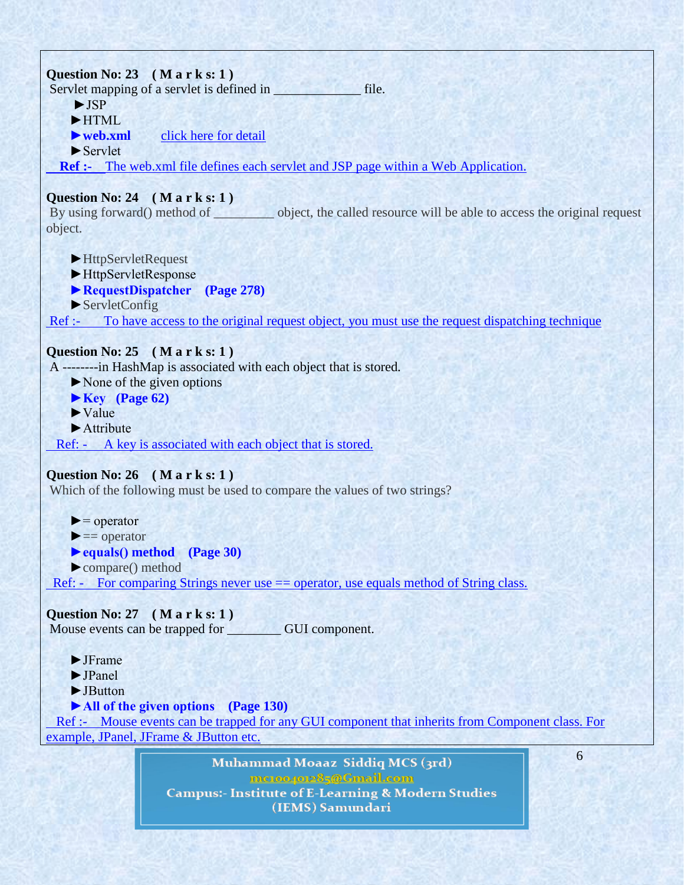

metoopote85@Gmail.com **Campus:- Institute of E-Learning & Modern Studies** (IEMS) Samundari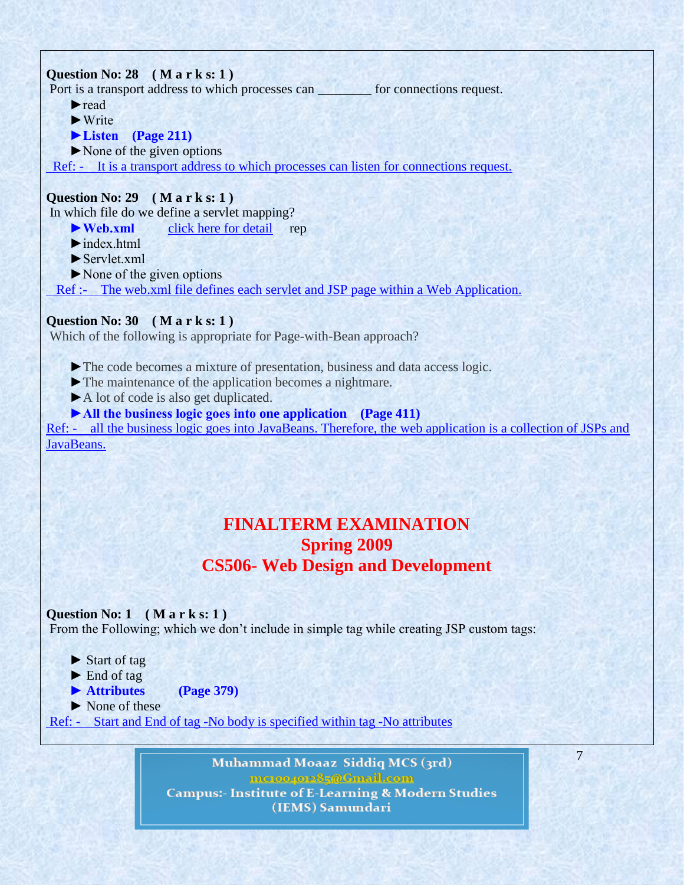# **Question No: 28 ( M a r k s: 1 )**  Port is a transport address to which processes can \_\_\_\_\_\_\_ for connections request. ►read  $\blacktriangleright$  Write  **►Listen (Page 211)** ►None of the given options Ref: - It is a transport address to which processes can listen for connections request. **Question No: 29 ( M a r k s: 1 )**  In which file do we define a servlet mapping?

► **Web.xml** click here for [detail](http://www.adp-gmbh.ch/java/web_application/web_xml.html) rep

- $\blacktriangleright$  index html
- $\blacktriangleright$  Servlet.xml
- ►None of the given options

Ref :- The web.xml file defines each servlet and JSP page within a Web Application.

### **Question No: 30 ( M a r k s: 1 )**

Which of the following is appropriate for Page-with-Bean approach?

- ►The code becomes a mixture of presentation, business and data access logic.
- ►The maintenance of the application becomes a nightmare.
- ►A lot of code is also get duplicated.
- **►All the business logic goes into one application (Page 411)**

Ref: - all the business logic goes into JavaBeans. Therefore, the web application is a collection of JSPs and JavaBeans.

# **FINALTERM EXAMINATION Spring 2009 CS506- Web Design and Development**

### **Question No: 1 ( M a r k s: 1 )**

From the Following; which we don't include in simple tag while creating JSP custom tags:

- ► Start of tag
- ► End of tag
- **► Attributes (Page 379)**
- ► None of these

Ref: - Start and End of tag -No body is specified within tag -No attributes

Muhammad Moaaz Siddiq MCS (3rd) metoopote85@Gmail.com **Campus:- Institute of E-Learning & Modern Studies** (IEMS) Samundari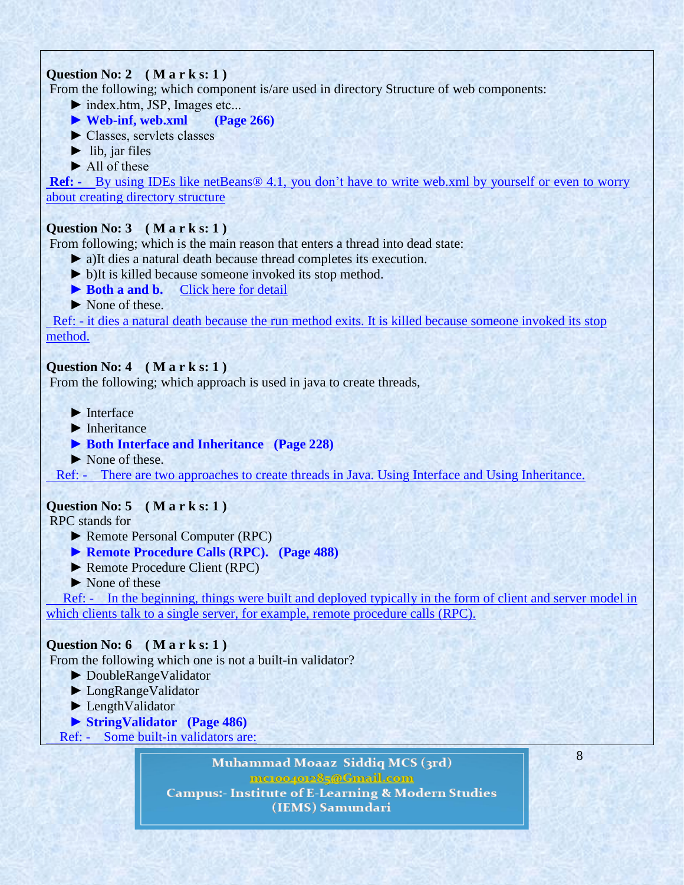# **Question No: 2 ( M a r k s: 1 )**

From the following; which component is/are used in directory Structure of web components:

► index.htm, JSP, Images etc...

- **► Web-inf, web.xml (Page 266)**
- ► Classes, servlets classes
- $\blacktriangleright$  lib, jar files
- ► All of these

**Ref: -** By using IDEs like netBeans® 4.1, you don't have to write web.xml by yourself or even to worry about creating directory structure

### **Question No: 3 ( M a r k s: 1 )**

From following; which is the main reason that enters a thread into dead state:

- ► a)It dies a natural death because thread completes its execution.
- ► b)It is killed because someone invoked its stop method.
- ► **Both a and b.** [Click here for detail](http://www.google.com.pk/url?sa=t&rct=j&q=&esrc=s&source=web&cd=11&ved=0CFUQFjAAOAo&url=http://users.iit.uni-miskolc.hu/~szkovacs/ParhRendszSeg/javathread.pdf&ei=W6XNT5GzHdHP4QTkvOw5&usg=AFQjCNFHo-eBvqnvBcSF5vJ7QTCYycMMSA&sig2=GSSKohCImulfe0Du)
- ► None of these.

 Ref: - it dies a natural death because the run method exits. It is killed because someone invoked its stop method.

### **Question No: 4 ( M a r k s: 1 )**

From the following; which approach is used in java to create threads,

- $\blacktriangleright$  Interface
- ► Inheritance
- ▶ **Both Interface and Inheritance** (Page 228)
- ▶ None of these.

Ref: - There are two approaches to create threads in Java. Using Interface and Using Inheritance.

### **Question No: 5 ( M a r k s: 1 )**

RPC stands for

- ► Remote Personal Computer (RPC)
- **► Remote Procedure Calls (RPC). (Page 488)**
- ► Remote Procedure Client (RPC)
- ► None of these

 [R](http://vuzs.net/)ef: - In the beginning, things were built and deployed typically in the form of client and server model in which clients talk to a single server, for example, remote procedure calls (RPC).

### **Question No: 6 ( M a r k s: 1 )**

From the following which one is not a built-in validator?

- ► DoubleRangeValidator
- ► LongRangeValidator
- ► LengthValidator
- **► StringValidator (Page 486)**

Ref: - Some built-in validators are:

Muhammad Moaaz Siddiq MCS (3rd) mc.oope.e85@Gmail.com **Campus:- Institute of E-Learning & Modern Studies** 

(IEMS) Samundari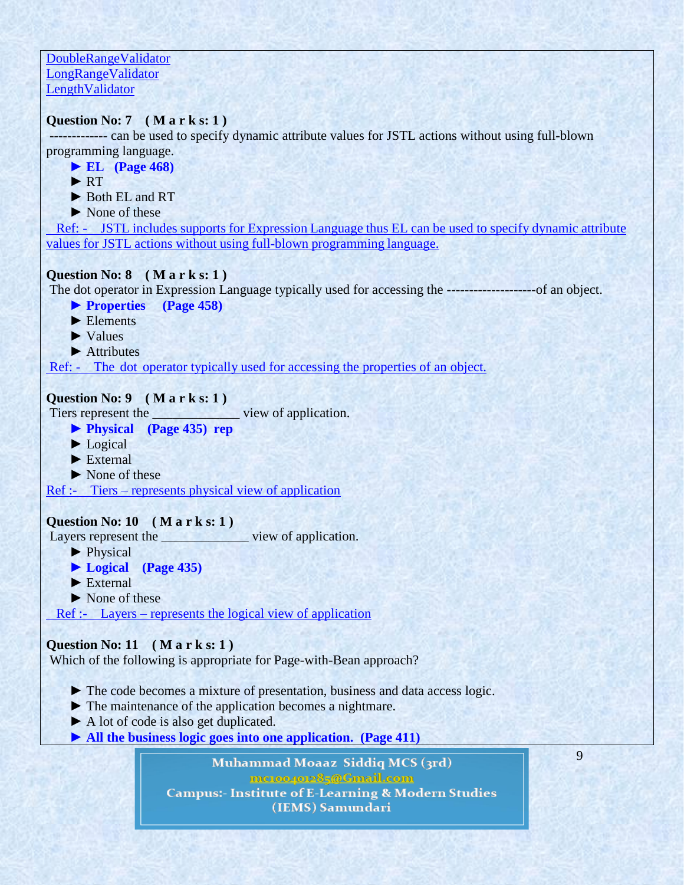DoubleRangeValidator LongRangeValidator LengthValidator

### **Question No: 7 ( M a r k s: 1 )**

------------- can be used to specify dynamic attribute values for JSTL actions without using full-blown programming language.

 **► EL (Page 468)** ► RT ► Both EL and RT ► None of these Ref: - JSTL includes supports for Expression Language thus EL can be used to specify dynamic attribute values for JSTL actions without using full-blown programming language. **Question No: 8 ( M a r k s: 1 )**  The dot operator in Expression Language typically used for accessing the --------------------of an object.  **► Properties (Page 458)**

► Elements

► Values

► Attributes

Ref: - The dot operator typically used for accessing the properties of an object.

### **Question No: 9 ( M a r k s: 1 )**

Tiers represent the view of application.

- **► Physical (Page 435) rep**
- ► Logical
- ► External
- ► None of these

Ref :- Tiers – represents physical view of application

### **Question No: 10 ( M a r k s: 1 )**

Layers represent the view of application.

- ▶ Physical
- **► Logical (Page 435)**
- ► External
- ▶ None of these

Ref :- Layers – represents the logical view of application

### **Question No: 11 ( M a r k s: 1 )**

Which of the following is appropriate for Page-with-Bean approach?

- ► The code becomes a mixture of presentation, business and data access logic.
- ► The maintenance of the application becomes a nightmare.
- ► A lot of code is also get duplicated.
- **► All the business logic goes into one application. (Page 411)**

Muhammad Moaaz Siddiq MCS (3rd) meton/ore85@Gmail.com **Campus:- Institute of E-Learning & Modern Studies** (IEMS) Samundari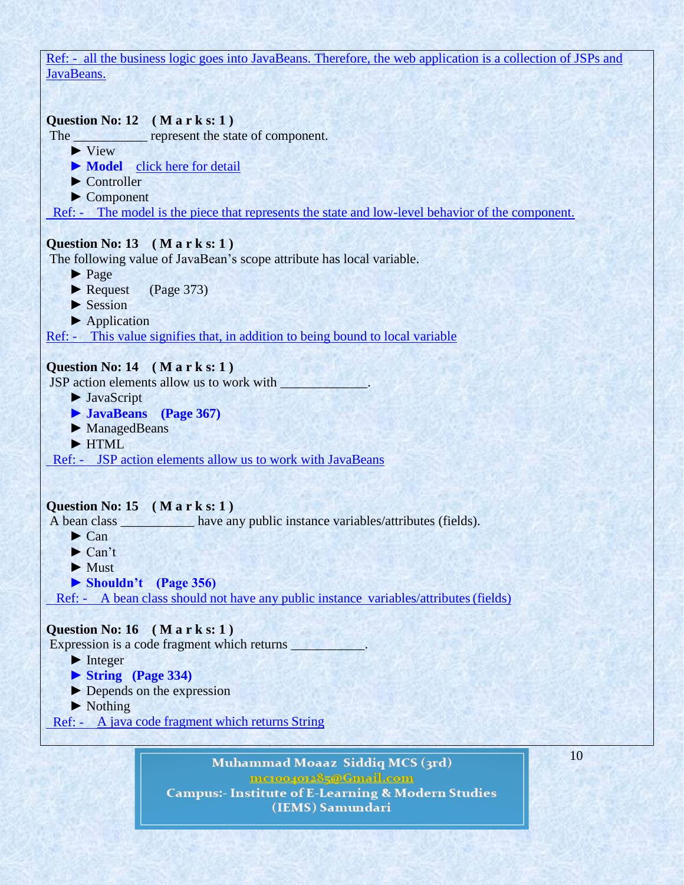Ref: - all the business logic goes into JavaBeans. Therefore, the web application is a collection of JSPs and JavaBeans.



► Nothing

Ref: - A java code fragment which returns String

Muhammad Moaaz Siddiq MCS (3rd) metoopote85@Gmail.com **Campus:- Institute of E-Learning & Modern Studies** (IEMS) Samundari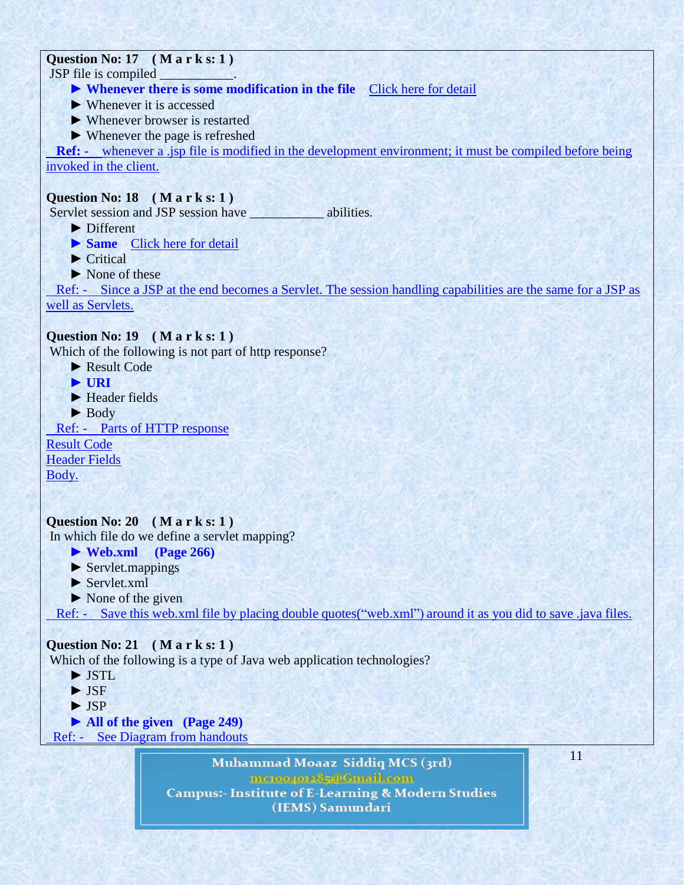# **Question No: 17 ( M a r k s: 1 )**

JSP file is compiled

- ▶ **Whenever there is some modification in the file** [Click here for detail](http://www.webnms.com/webnms/help/developer_guide/web_client/web_compile_jsp.html)
- $\blacktriangleright$  Whenever it is accessed
- ► Whenever browser is restarted
- ► Whenever the page is refreshed

 **Ref: -** whenever a .jsp file is modified in the development environment; it must be compiled before being invoked in the client.

# **Question No: 18 ( M a r k s: 1 )**

Servlet session and JSP session have \_\_\_\_\_\_\_\_\_\_\_\_\_ abilities.

- ► Different
- ▶ **Same** [Click here for detail](http://www.coolinterview.com/interview/5872/)
- $\blacktriangleright$  Critical
- ► None of these

 Ref: - Since a JSP at the end becomes a Servlet. The session handling capabilities are the same for a JSP as well as Servlets.

### **Question No: 19 ( M a r k s: 1 )**

Which of the following is not part of http response?

- ► Result Code
- **► URI**
- ► Header fields
- ► Body

Ref: - Parts of HTTP response

Result Code

Header Fields

Body.

# **Question No: 20 ( M a r k s: 1 )**

In which file do we define a servlet mapping?

- **► Web.xml (Page 266)**
- ► Servlet.mappings
- ► Servlet.xml
- ► None of the given

Ref: - Save this web.xml file by placing double quotes("web.xml") around it as you did to save .java files.

# **Question No: 21 ( M a r k s: 1 )**

Which of the following is a type of Java web application technologies?

- ► JSTL
- ► JSF
- ► JSP
- **► All of the given (Page 249)**

Ref: - See Diagram from handouts

Muhammad Moaaz Siddiq MCS (3rd) metoopote85@Gmail.com **Campus:- Institute of E-Learning & Modern Studies** (IEMS) Samundari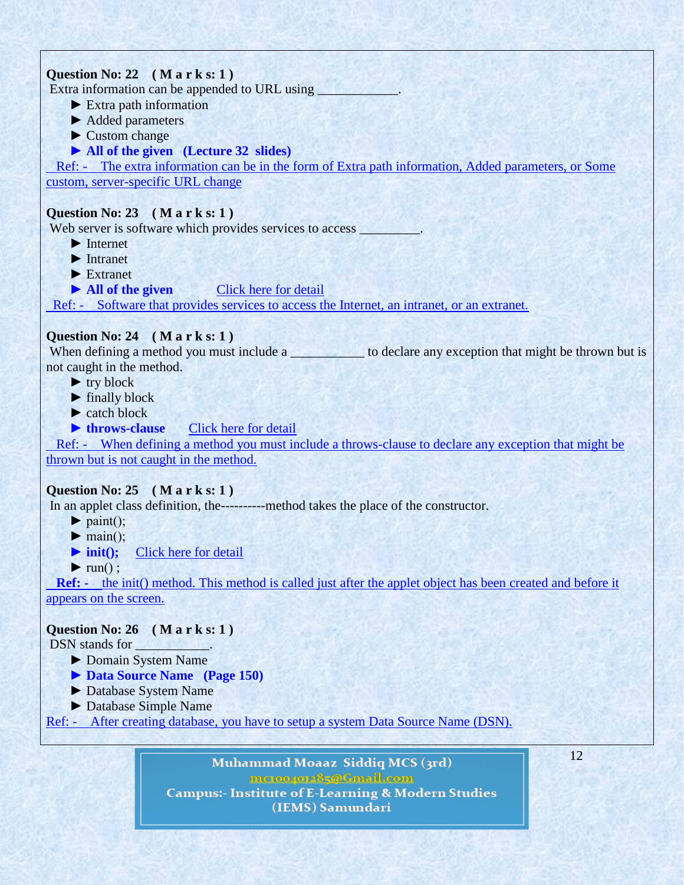# **Question No: 22 ( M a r k s: 1 )**

Extra information can be appended to URL using

- ► Extra path information
- ► Added parameters
- ► Custom change

### **► All of the given (Lecture 32 slides)**

 Ref: - The extra information can be in the form of Extra path information, Added parameters, or Some custom, server-specific URL change

### **Question No: 23 ( M a r k s: 1 )**

Web server is software which provides services to access

- ► Internet
- ► Intranet
- ► Extranet
- ► **All of the given** [Click here for detail](http://java.sun.com/docs/glossary.html)

Ref: - Software that provides services to access the Internet, an intranet, or an extranet.

### **Question No: 24 ( M a r k s: 1 )**

When defining a method you must include a \_\_\_\_\_\_\_\_\_\_\_\_\_ to declare any exception that might be thrown but is not caught in the method.

- $\blacktriangleright$  try block
- $\blacktriangleright$  finally block
- $\blacktriangleright$  catch block
- ▶ **throws-clause** [Click here for detail](http://www.google.com.pk/url?sa=t&rct=j&q=&esrc=s&source=web&cd=1&ved=0CFIQFjAA&url=http://bi.snu.ac.kr/Courses/prog05/ppt/CH08.PPT&ei=rbrNT-aYNMaVOo2vqfUP&usg=AFQjCNFd2nTZlosjcpgtcikD0fTmBSXoIA&sig2=UHKG8zwSL022nUvs2wykMg)

 Ref: - When defining a method you must include a throws-clause to declare any exception that might be thrown but is not caught in the method.

### **Question No: 25 ( M a r k s: 1 )**

In an applet class definition, the----------method takes the place of the constructor.

- $\blacktriangleright$  paint();
- $\blacktriangleright$  main();
- **► init();** [Click here for detail](http://math.hws.edu/eck/cs124/javanotes4/c6/s1.html)
- $\blacktriangleright$  run $()$  :

**Ref: -** the init() method. This method is called just after the applet object has been created and before it appears on the screen.

### **Question No: 26 ( M a r k s: 1 )**

DSN stands for  $\qquad \qquad$ 

- ► Domain System Name
- **► Data Source Name (Page 150)**
- ► Database System Name
- ► Database Simple Name
- Ref: After creating database, you have to setup a system Data Source Name (DSN).

Muhammad Moaaz Siddiq MCS (3rd) metoopote85@Gmail.com **Campus:- Institute of E-Learning & Modern Studies** (IEMS) Samundari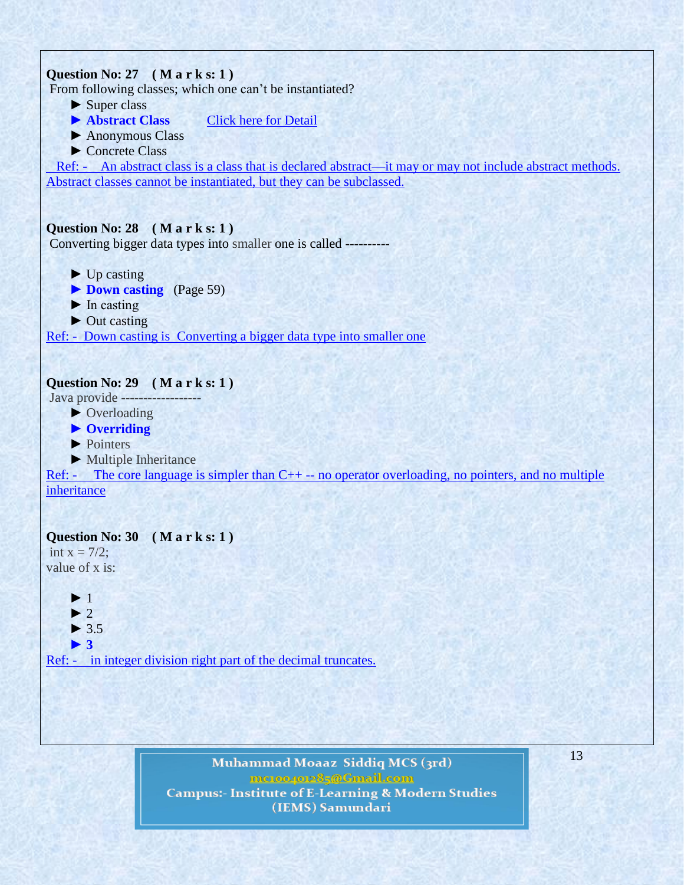

Muhammad Moaaz Siddiq MCS (3rd) metoopote85@Gmail.com **Campus:- Institute of E-Learning & Modern Studies** (IEMS) Samundari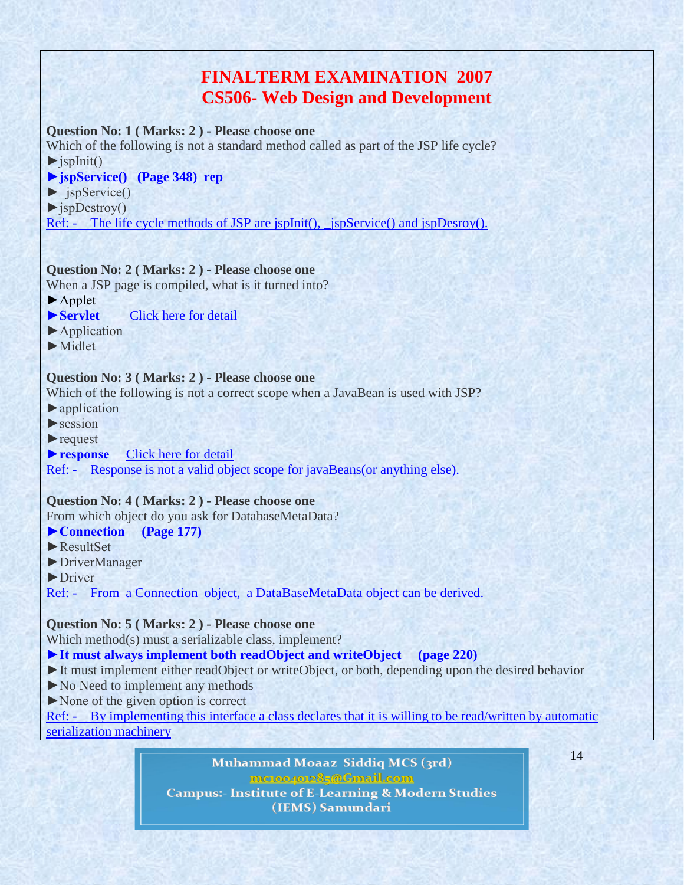# **FINALTERM EXAMINATION 2007 CS506- Web Design and Development**

### **Question No: 1 ( Marks: 2 ) - Please choose one**

Which of the following is not a standard method called as part of the JSP life cycle?  $\blacktriangleright$  jspInit()

### **►jspService() (Page 348) rep**

►\_jspService()

 $\rightharpoonup$  jspDestroy()

Ref: - The life cycle methods of JSP are jspInit(), \_jspService() and jspDesroy().

### **Question No: 2 ( Marks: 2 ) - Please choose one**

When a JSP page is compiled, what is it turned into?

- ►Applet
- ► **Servlet** [Click](http://ecomputercoach.com/index.php/interview-questions/36-java-interview-questions/73-java-server-pages-jsp-interview-questions.html) here for detail
- ►Application
- ►Midlet

### **Question No: 3 ( Marks: 2 ) - Please choose one**

Which of the following is not a correct scope when a JavaBean is used with JSP?

- ►application
- $\blacktriangleright$  session
- ►request

#### ► **response** [Click](http://www.docstoc.com/docs/292215/JSP-and--Servlet-questions) here for detail

Ref: - Response is not a valid object scope for javaBeans(or anything else).

### **Question No: 4 ( Marks: 2 ) - Please choose one**

From which object do you ask for DatabaseMetaData?

#### **►Connection (Page 177)**

- ►ResultSet
- ►DriverManager
- ▶Driver

Ref: - From a Connection object, a DataBaseMetaData object can be derived.

### **Question No: 5 ( Marks: 2 ) - Please choose one**

Which method(s) must a serializable class, implement?

### **►It must always implement both readObject and writeObject (page 220)**

- ►It must implement either readObject or writeObject, or both, depending upon the desired behavior
- ►No Need to implement any methods
- ►None of the given option is correct

Ref: - By implementing this interface a class declares that it is willing to be read/written by automatic serialization machinery

> Muhammad Moaaz Siddiq MCS (3rd) metoopote85@Gmail.com **Campus:- Institute of E-Learning & Modern Studies** (IEMS) Samundari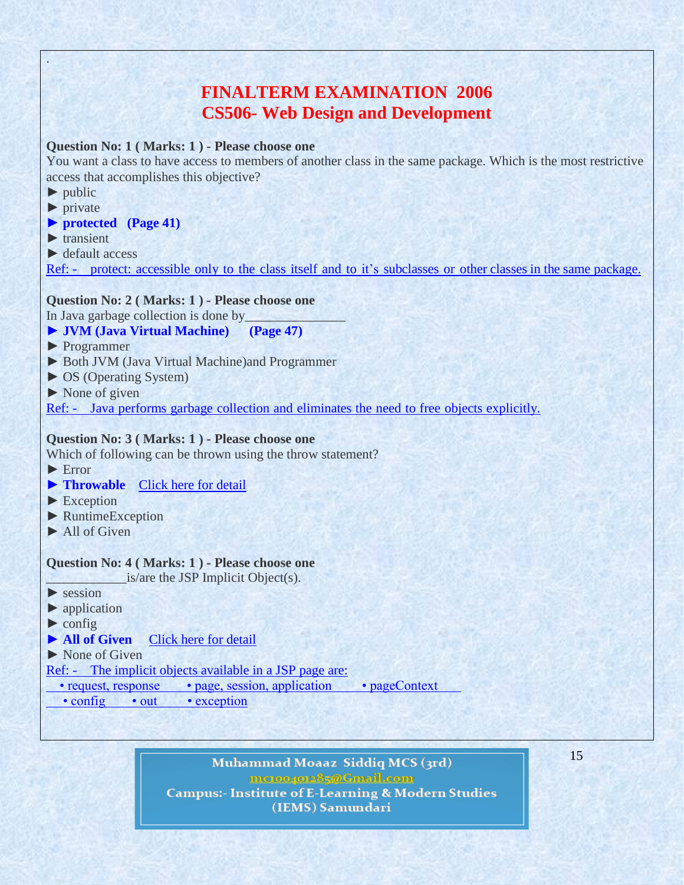# **FINALTERM EXAMINATION 2006 CS506- Web Design and Development**

### **Question No: 1 ( Marks: 1 ) - Please choose one**

You want a class to have access to members of another class in the same package. Which is the most restrictive access that accomplishes this objective?

 $\blacktriangleright$  public

.

- ► private
- **► protected (Page 41)**
- $\blacktriangleright$  transient
- ► default access

Ref: - protect: accessible only to the class itself and to it's subclasses or other classes in the same package.

#### **Question No: 2 ( Marks: 1 ) - Please choose one**

In Java garbage collection is done by

- **► JVM (Java Virtual Machine) (Page 47)**
- ► Programmer
- ► Both JVM (Java Virtual Machine)and Programmer
- ► OS (Operating System)
- $\triangleright$  None of given

Ref: - Java performs garbage collection and eliminates the need to free objects explicitly.

### **Question No: 3 ( Marks: 1 ) - Please choose one**

Which of following can be thrown using the throw statement?

- ► Error
- **► Throwable** [Click](http://www.java2s.com/Tutorial/SCJP/0100__Statements/Answerthrowstatement.htm) here for detail
- ► Exception
- ► RuntimeException
- $\blacktriangleright$  All of Given

#### **Question No: 4 ( Marks: 1 ) - Please choose one**

\_\_\_\_\_\_\_\_\_\_\_\_is/are the JSP Implicit Object(s).

- $\blacktriangleright$  session
- $\blacktriangleright$  application
- $\triangleright$  config
- **► All of Given** [Click](http://www.geekmantra.com/subsection.php?section=JSP&subSection=JSP+Basics&permalink=41) here for detail
- ► None of Given

Ref: - The implicit objects available in a JSP page are:

• request, response • page, session, application • pageContext

• config • out • exception

Muhammad Moaaz Siddiq MCS (3rd) metoopote85@Gmail.com **Campus:- Institute of E-Learning & Modern Studies** (IEMS) Samundari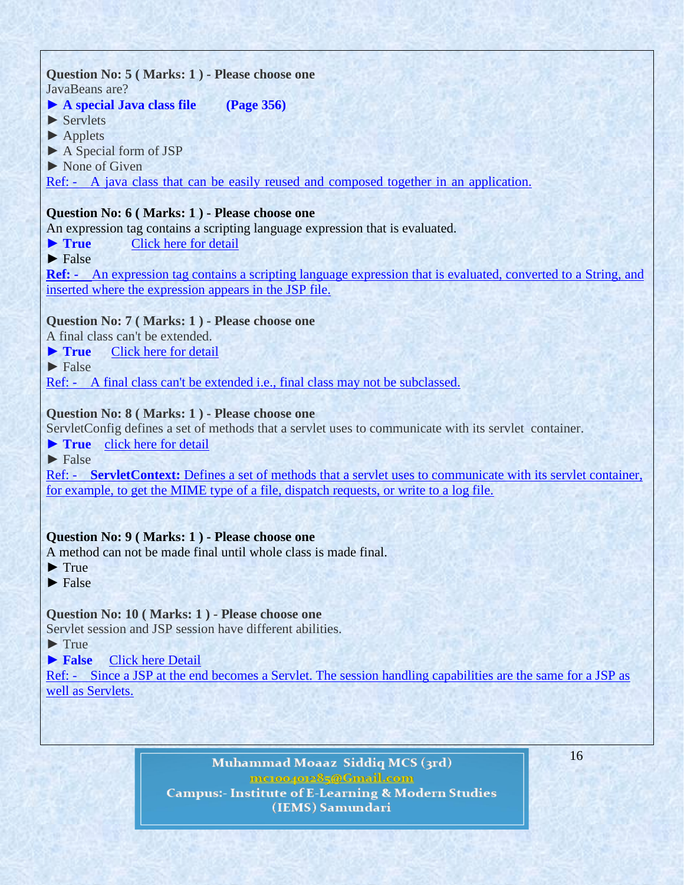### **Question No: 5 ( Marks: 1 ) - Please choose one** JavaBeans are?

### **► A special Java class file (Page 356)**

► Servlets

- ► Applets
- ► A Special form of JSP
- ▶ None of Given

Ref: - A java class that can be easily reused and composed together in an application.

### **Question No: 6 ( Marks: 1 ) - Please choose one**

An expression tag contains a scripting language expression that is evaluated.

- **► True** [Click](http://java.sun.com/products/jsp/tags/syntaxref.fm4.html) here for detail
- $\blacktriangleright$  False

**Ref: -** An expression tag contains a scripting language expression that is evaluated, converted to a String, and inserted where the expression appears in the JSP file.

### **Question No: 7 ( Marks: 1 ) - Please choose one**

A final class can't be extended.

► **True** [Click](http://www.allapplabs.com/interview_questions/java_interview_questions.htm) here for detail

 $\blacktriangleright$  False

Ref: - A final class can't be extended i.e., final class may not be subclassed.

### **Question No: 8 ( Marks: 1 ) - Please choose one**

ServletConfig defines a set of methods that a servlet uses to communicate with its servlet container.

**► True** click here for [detail](http://www.allapplabs.com/interview_questions/servlet_interview_questions.htm)

 $\blacktriangleright$  False

Ref: - **ServletContext:** Defines a set of methods that a servlet uses to communicate with its servlet container, for example, to get the MIME type of a file, dispatch requests, or write to a log file.

# **Question No: 9 ( Marks: 1 ) - Please choose one**

A method can not be made final until whole class is made final.

- $\blacktriangleright$  True
- $\blacktriangleright$  False

# **Question No: 10 ( Marks: 1 ) - Please choose one**

Servlet session and JSP session have different abilities.

- $\blacktriangleright$  True
- **► False** Click here [Detail](http://www.coolinterview.com/interview/5872/)

Ref: - Since a JSP at the end becomes a Servlet. The session handling capabilities are the same for a JSP as well as Servlets.

> Muhammad Moaaz Siddiq MCS (3rd) mc.oope.e85@Gmail.com **Campus:- Institute of E-Learning & Modern Studies** (IEMS) Samundari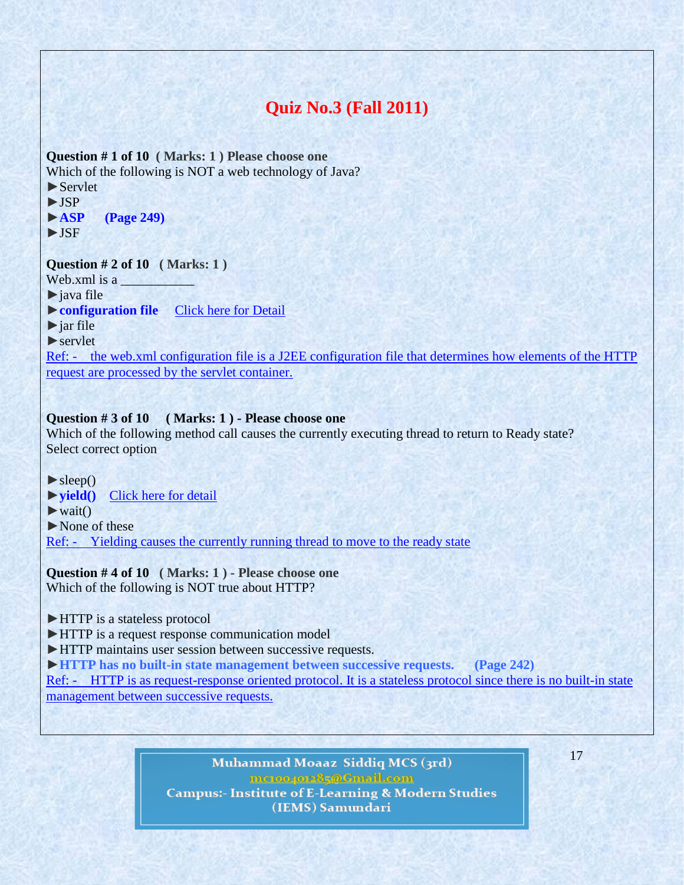# **Quiz No.3 (Fall 2011)**

**Question # 1 of 10 ( Marks: 1 ) Please choose one** Which of the following is NOT a web technology of Java? ►Servlet

►JSP

►**ASP (Page 249)**

►JSF

**Question # 2 of 10 ( Marks: 1 )**

Web.xml is a

 $\blacktriangleright$  java file

►**configuration file** [Click here for Detail](http://www.tutorialspoint.com/struts_2/struts_configuration.htm)

 $\blacktriangleright$  jar file

 $\blacktriangleright$  servlet

Ref: - the web.xml configuration file is a J2EE configuration file that determines how elements of the HTTP request are processed by the servlet container.

### **Question # 3 of 10 ( Marks: 1 ) - Please choose one**

Which of the following method call causes the currently executing thread to return to Ready state? Select correct option

 $\blacktriangleright$  sleep()

►**yield()** [Click here for detail](http://www.scs.ryerson.ca/mes/courses/cps530/programs/threads/Controlling/stateTransitions.html)

 $\blacktriangleright$  wait()

►None of these

Ref: - Yielding causes the currently running thread to move to the ready state

**Question # 4 of 10 ( Marks: 1 ) - Please choose one** Which of the following is NOT true about HTTP?

►HTTP is a stateless protocol

► HTTP is a request response communication model

►HTTP maintains user session between successive requests.

►**HTTP has no built-in state management between successive requests. (Page 242)**

Ref: - HTTP is as request-response oriented protocol. It is a stateless protocol since there is no built-in state management between successive requests.

> Muhammad Moaaz Siddiq MCS (3rd) mc.compoz&5@Cmail.com **Campus:- Institute of E-Learning & Modern Studies** (IEMS) Samundari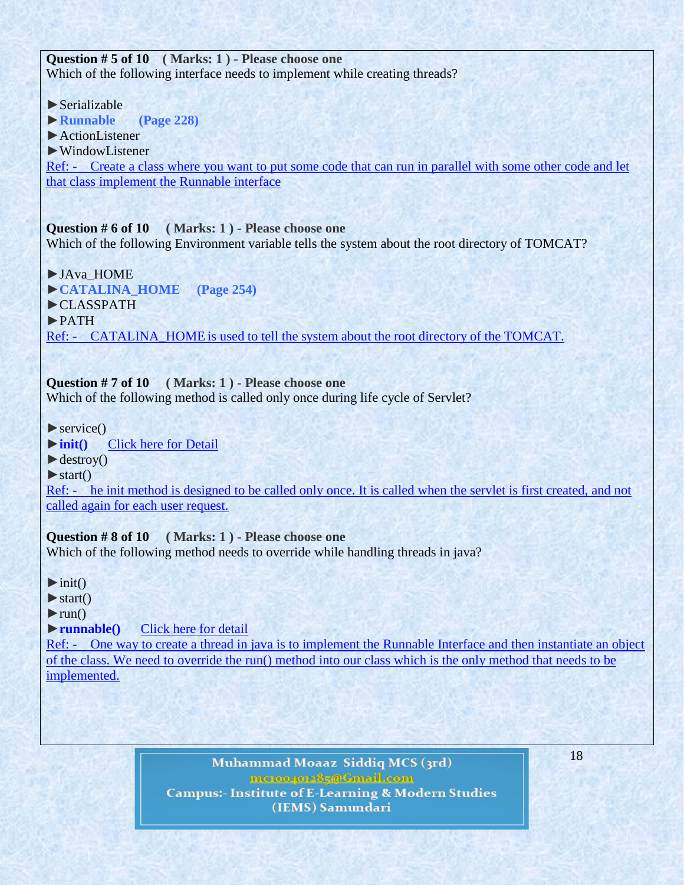**Question # 5 of 10 ( Marks: 1 ) - Please choose one** Which of the following interface needs to implement while creating threads?

 $\blacktriangleright$  Serializable

►**Runnable (Page 228)**

►ActionListener

►WindowListener

Ref: - Create a class where you want to put some code that can run in parallel with some other code and let that class implement the Runnable interface

**Question # 6 of 10 ( Marks: 1 ) - Please choose one**

Which of the following Environment variable tells the system about the root directory of TOMCAT?

►JAva\_HOME ►**CATALINA\_HOME (Page 254)** ►CLASSPATH ►PATH Ref: - CATALINA\_HOME is used to tell the system about the root directory of the TOMCAT.

**Question # 7 of 10 ( Marks: 1 ) - Please choose one** Which of the following method is called only once during life cycle of Servlet?

 $\blacktriangleright$  service()

►**init()** [Click here for Detail](http://www.tutorialspoint.com/servlets/servlets-life-cycle.htm)

 $\blacktriangleright$  destroy()

 $\blacktriangleright$  start()

Ref: - he init method is designed to be called only once. It is called when the servlet is first created, and not called again for each user request.

**Question # 8 of 10 ( Marks: 1 ) - Please choose one** Which of the following method needs to override while handling threads in java?

 $\blacktriangleright$ init()

 $\blacktriangleright$  start()

 $\blacktriangleright$ run()

►**runnable()** [Click here for detail](http://www.javabeginner.com/learn-java/java-threads-tutorial)

Ref: - One way to create a thread in java is to implement the Runnable Interface and then instantiate an object of the class. We need to override the run() method into our class which is the only method that needs to be implemented.

> Muhammad Moaaz Siddiq MCS (3rd) meton/or285@Cmail.com **Campus:- Institute of E-Learning & Modern Studies** (IEMS) Samundari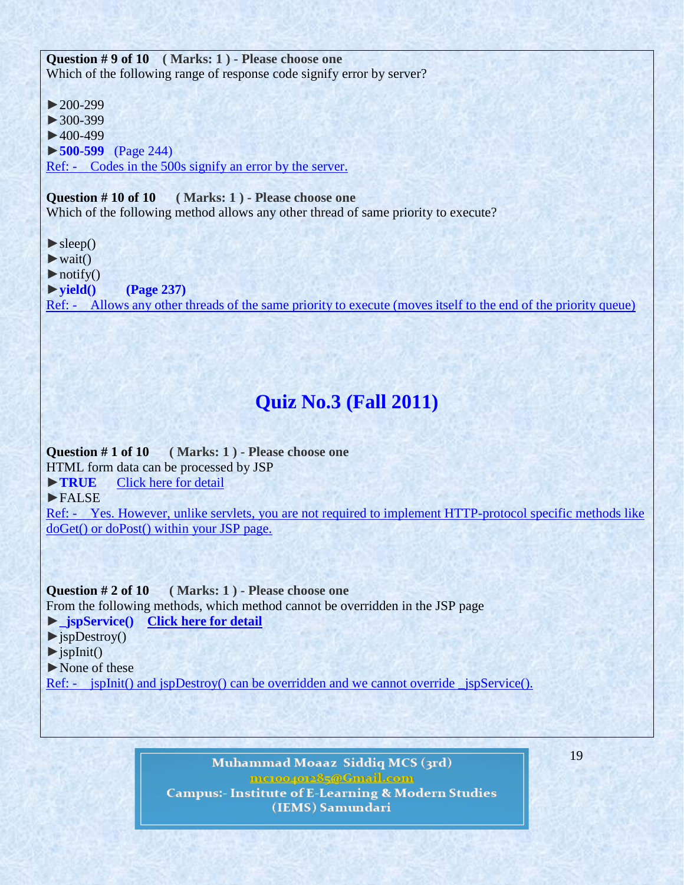**Question # 9 of 10 ( Marks: 1 ) - Please choose one** Which of the following range of response code signify error by server?

►200-299 ►300-399  $\blacktriangleright$  400-499 ►**500-599** (Page 244) Ref: - Codes in the 500s signify an error by the server.

**Question # 10 of 10 ( Marks: 1 ) - Please choose one**

Which of the following method allows any other thread of same priority to execute?

 $\blacktriangleright$  sleep()

 $\blacktriangleright$  wait()

 $\triangleright$  notify()

►**yield() (Page 237)**

Ref: - Allows any other threads of the same priority to execute (moves itself to the end of the priority queue)

# **Quiz No.3 (Fall 2011)**

**Question # 1 of 10 ( Marks: 1 ) - Please choose one** HTML form data can be processed by JSP ►**[TRUE](http://www.vuzs.net/)** [Click here for detail](http://www.jguru.com/faq/view.jsp?EID=369) ►FALSE Ref: - Yes. However, unlike servlets, you are not required to implement HTTP-protocol specific methods like doGet() or doPost() within your JSP page.

**Question # 2 of 10 ( Marks: 1 ) - Please choose one** From the following methods, which method cannot be overridden in the JSP page ►**[\\_jspService\(\)](http://www.vuzs.net/) [Click here for detail](http://www.exceptionhandle.com/portal/java/advanced-java/difference-between-_jspservice-and-other-life-cycle-methods.htm)**  $\rightharpoonup$ jspDestroy()  $\blacktriangleright$  ispInit() ►None of these

Ref: - jspInit() and jspDestroy() can be overridden and we cannot override \_jspService().

Muhammad Moaaz Siddiq MCS (3rd) metoopote85@Gmail.com **Campus:- Institute of E-Learning & Modern Studies** (IEMS) Samundari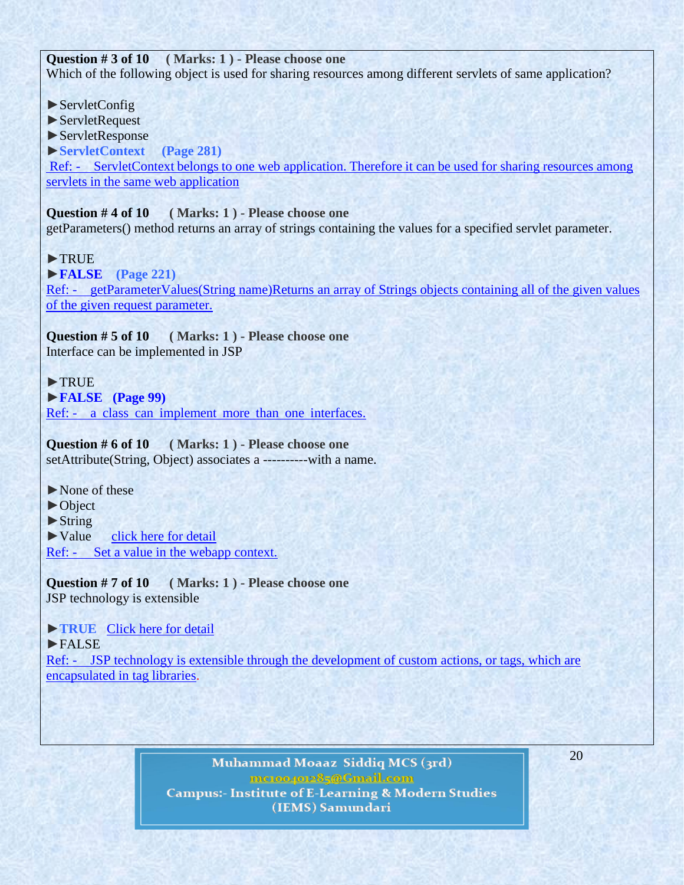**Question # 3 of 10 ( Marks: 1 ) - Please choose one** Which of the following object is used for sharing resources among different servlets of same application?

► ServletConfig

►ServletRequest

►ServletResponse

►**[ServletContext](http://www.vuzs.net/) (Page 281)**

Ref: - ServletContext belongs to one web application. Therefore it can be used for sharing resources among servlets in the same web application

#### **Question # 4 of 10 ( Marks: 1 ) - Please choose one**

getParameters() method returns an array of strings containing the values for a specified servlet parameter.

### ►TRUE

►**[FALSE](http://www.vuzs.net/) (Page 221)** Ref: - getParameterValues(String name)Returns an array of Strings objects containing all of the given values of the given request parameter.

**Question # 5 of 10 ( Marks: 1 ) - Please choose one** Interface can be implemented in JSP

### ►TRUE

►**FALSE (Page 99)**

Ref: - a class can implement more than one interfaces.

**Question # 6 of 10 ( Marks: 1 ) - Please choose one** setAttribute(String, Object) associates a -----------with a name.

►None of these

►Object

 $\blacktriangleright$  String

►Value [click here for detail](http://hadoop.apache.org/common/docs/r0.19.2/api/org/apache/hadoop/http/HttpServer.html)

Ref: - Set a value in the webapp context.

**Question # 7 of 10 ( Marks: 1 ) - Please choose one** JSP technology is extensible

### ►**TRUE** [Click here for detail](http://www.techinterviews.com/common-jsp-interview-questions)

### ►FALSE

Ref: - JSP technology is extensible through the development of custom actions, or tags, which are encapsulated in tag libraries.

> Muhammad Moaaz Siddiq MCS (3rd) metoopote85@Gmail.com **Campus:- Institute of E-Learning & Modern Studies** (IEMS) Samundari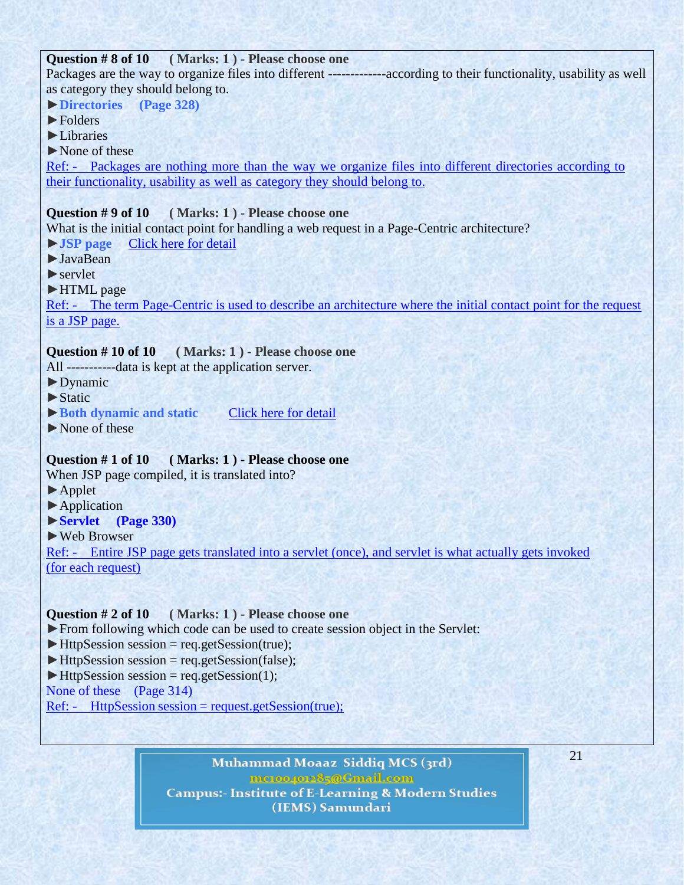# **Question # 8 of 10 ( Marks: 1 ) - Please choose one** Packages are the way to organize files into different -------------according to their functionality, usability as well as category they should belong to. ►**Directories (Page 328)** ►Folders ►Libraries ►None of these Ref: - Packages are nothing more than the way we organize files into different directories according to their functionality, usability as well as category they should belong to. **Question # 9 of 10 ( Marks: 1 ) - Please choose one** What is the initial contact point for handling a web request in a Page-Centric architecture? ►**JSP page** [Click here for](http://java.sun.com/developer/Quizzes/jsp/answer.jsp) detail ►JavaBean  $\blacktriangleright$  servlet ►HTML page Ref: - The term Page-Centric is used to describe an architecture where the initial contact point for the request is a JSP page. **Question # 10 of 10 ( Marks: 1 ) - Please choose one** All -----------data is kept at the application server. ►Dynamic ►Static ►**Both dynamic and static** [Click here for detail](http://www.geekinterview.com/question_details/20204) ►None of these **Question # 1 of 10 ( Marks: 1 ) - Please choose one** When JSP page compiled, it is translated into? ►Applet ►Application ►**Servlet (Page 330)** ►Web Browser Ref: - Entire JSP page gets translated into a servlet (once), and servlet is what actually gets invoked (for each request)

### **Question # 2 of 10 ( Marks: 1 ) - Please choose one**

- ►From following which code can be used to create session object in the Servlet:
- $\blacktriangleright$  HttpSession session = req.getSession(true);
- $\blacktriangleright$  HttpSession session = req.getSession(false);
- $\blacktriangleright$  HttpSession session = req.getSession(1);

None of these (Page 314)

 $Ref:$  - HttpSession session = request.getSession(true);

Muhammad Moaaz Siddiq MCS (3rd) metoopote85@Gmail.com **Campus:- Institute of E-Learning & Modern Studies** (IEMS) Samundari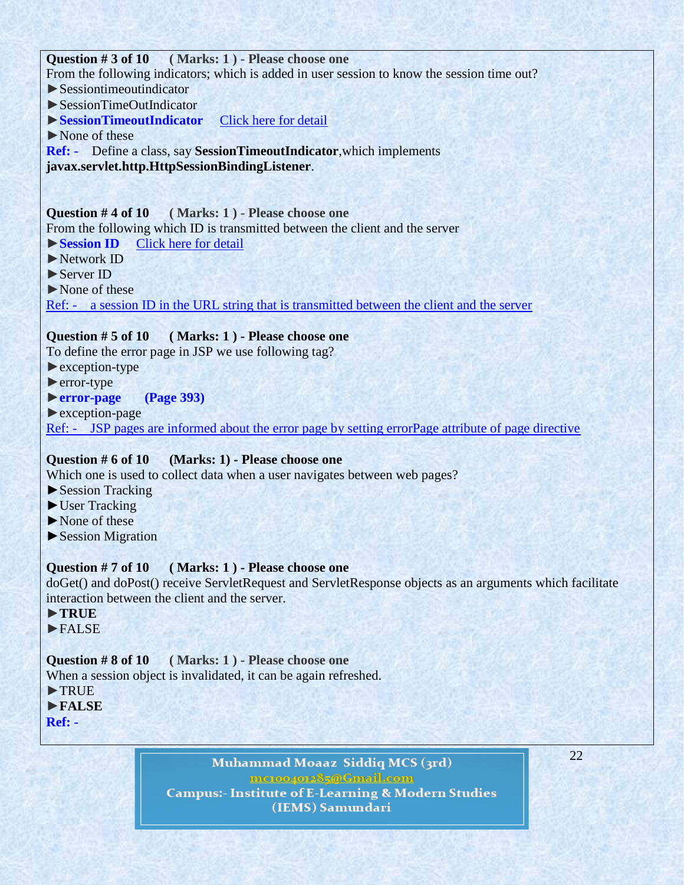### **Question # 3 of 10 ( Marks: 1 ) - Please choose one**

From the following indicators; which is added in user session to know the session time out?

- $\blacktriangleright$  Sessiontimeoutindicator
- ►SessionTimeOutIndicator
- ►**SessionTimeoutIndicator** [Click here for detail](http://www.javacommerce.com/displaypage.jsp?name=servletfaq.sql&id=18248)
- ►None of these

**Ref: -** Define a class, say **SessionTimeoutIndicator**,which implements **javax.servlet.http.HttpSessionBindingListener**.

**Question # 4 of 10 ( Marks: 1 ) - Please choose one** From the following which ID is transmitted between the client and the server ►**Session ID** [Click here for detail](http://msdn.microsoft.com/en-us/library/system.web.sessionstate.aspx)

- ►Network ID
- ►Server ID
- ►None of these

Ref: - a session ID in the URL string that is transmitted between the client and the server

### **Question # 5 of 10 ( Marks: 1 ) - Please choose one**

To define the error page in JSP we use following tag?

- ►exception-type
- ►error-type
- ►**error-page (Page 393)**
- ►exception-page

Ref: - JSP pages are informed about the error page by setting errorPage attribute of page directive

#### **Question # 6 of 10 (Marks: 1) - Please choose one**

Which one is used to collect data when a user navigates between web pages?

- ► Session Tracking
- ► User Tracking
- ►None of these
- ►Session Migration

### **Question # 7 of 10 ( Marks: 1 ) - Please choose one**

doGet() and doPost() receive ServletRequest and ServletResponse objects as an arguments which facilitate interaction between the client and the server.

- ►**TRUE**
- ►FALSE

### **Question # 8 of 10 ( Marks: 1 ) - Please choose one**

When a session object is invalidated, it can be again refreshed.

- ►TRUE
- ►**FALSE**
- **Ref:**

Muhammad Moaaz Siddiq MCS (3rd) metoopote85@Gmail.com **Campus:- Institute of E-Learning & Modern Studies** (IEMS) Samundari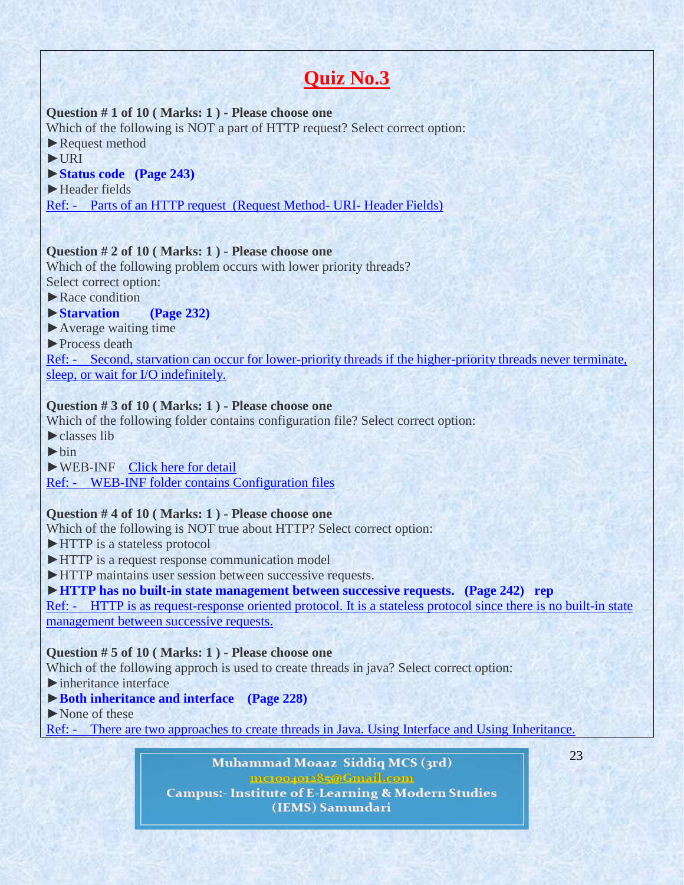# **Quiz No.3**

### **Question # 1 of 10 ( Marks: 1 ) - Please choose one**

Which of the following is NOT a part of HTTP request? Select correct option: ▶Request method

►URI

### ►**Status code (Page 243)**

►Header fields

Ref: - Parts of an HTTP request (Request Method- URI- Header Fields)

### **Question # 2 of 10 ( Marks: 1 ) - Please choose one**

Which of the following problem occurs with lower priority threads? Select correct option:

 $\blacktriangleright$  Race condition

### ►**Starvation (Page 232)**

- ►Average waiting time
- ►Process death

Ref: - Second, starvation can occur for lower-priority threads if the higher-priority threads never terminate, sleep, or wait for I/O indefinitely.

# **Question # 3 of 10 ( Marks: 1 ) - Please choose one**

Which of the following folder contains configuration file? Select correct option:

►classes lib

 $\blacktriangleright$ hin

►WEB-INF [Click](http://www.slideboom.com/presentations/146751/Introduction-to-Ant) here for detail

Ref: - WEB-INF folder contains Configuration files

### **Question # 4 of 10 ( Marks: 1 ) - Please choose one**

Which of the following is NOT true about HTTP? Select correct option:

- ►HTTP is a stateless protocol
- ►HTTP is a request response communication model
- ►HTTP maintains user session between successive requests.

### ►**HTTP has no built-in state management between successive requests. (Page 242) rep**

Ref: - HTTP is as request-response oriented protocol. It is a stateless protocol since there is no built-in state management between successive requests.

### **Question # 5 of 10 ( Marks: 1 ) - Please choose one**

Which of the following approch is used to create threads in java? Select correct option:

- $\blacktriangleright$  inheritance interface
- ►**Both inheritance and interface (Page 228)**
- ►None of these

Ref: - There are two approaches to create threads in Java. Using Interface and Using Inheritance.

Muhammad Moaaz Siddiq MCS (3rd) meton/ore85@Gmail.com **Campus:- Institute of E-Learning & Modern Studies** (IEMS) Samundari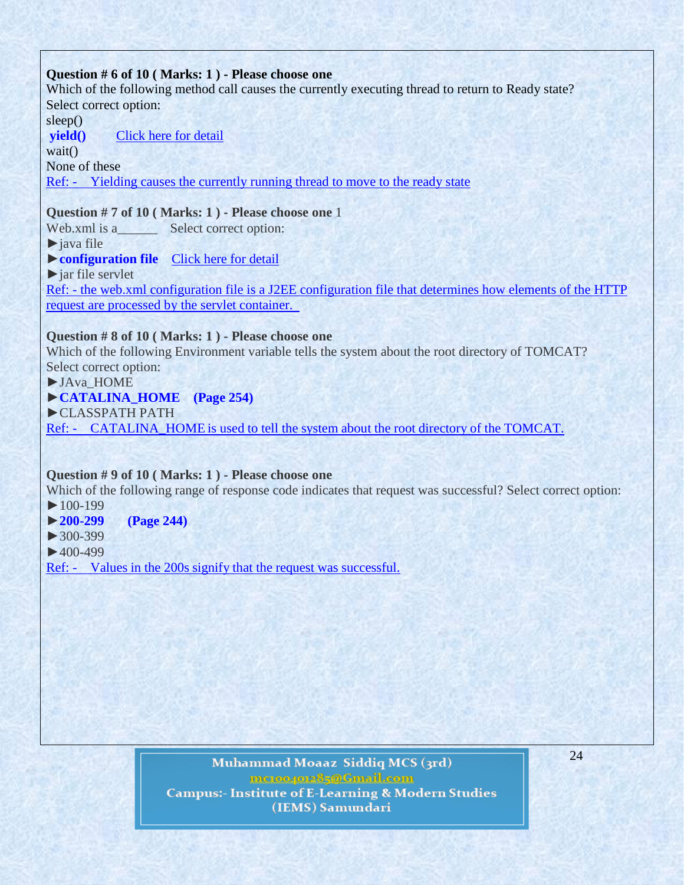### **Question # 6 of 10 ( Marks: 1 ) - Please choose one**

Which of the following method call causes the currently executing thread to return to Ready state? Select correct option:

sleep()

**yield()** [Click here for detail](http://www.scs.ryerson.ca/mes/courses/cps530/programs/threads/Controlling/stateTransitions.html)

wait()

None of these

Ref: - Yielding causes the currently running thread to move to the ready state

### **Question # 7 of 10 ( Marks: 1 ) - Please choose one** 1

Web.xml is a \_\_\_\_\_\_\_\_ Select correct option:

 $\blacktriangleright$ iava file

### ►**configuration file** [Click](http://www.tutorialspoint.com/struts_2/struts_configuration.htm) here for detail

 $\blacktriangleright$  jar file servlet

Ref: - the web.xml configuration file is a J2EE configuration file that determines how elements of the HTTP request are processed by the servlet container.

### **Question # 8 of 10 ( Marks: 1 ) - Please choose one**

Which of the following Environment variable tells the system about the root directory of TOMCAT? Select correct option:

►JAva\_HOME

### ►**CATALINA\_HOME (Page 254)**

►CLASSPATH PATH

Ref: - CATALINA\_HOME is used to tell the system about the root directory of the TOMCAT.

### **Question # 9 of 10 ( Marks: 1 ) - Please choose one**

Which of the following range of response code indicates that request was successful? Select correct option:

 $\blacktriangleright$  100-199

### ►**200-299 (Page 244)**

►300-399

 $\blacktriangleright$  400-499

Ref: - Values in the 200s signify that the request was successful.

Muhammad Moaaz Siddiq MCS (3rd) metoopote85@Gmail.com **Campus:- Institute of E-Learning & Modern Studies** (IEMS) Samundari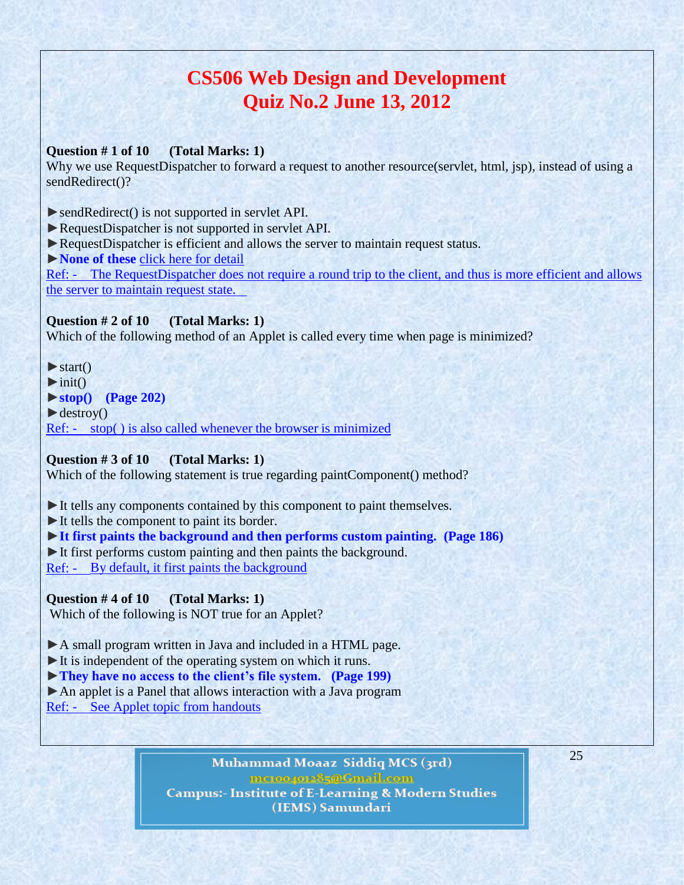# **CS506 Web Design and Development Quiz No.2 June 13, 2012**

### **Question # 1 of 10 (Total Marks: 1)**

Why we use RequestDispatcher to forward a request to another resource(servlet, html, jsp), instead of using a sendRedirect()?

►sendRedirect() is not supported in servlet API.

- ►RequestDispatcher is not supported in servlet API.
- ►RequestDispatcher is efficient and allows the server to maintain request status.

►**None of these** [click here for detail](http://java.sun.com/developer/Quizzes/jsp/index.html)

Ref: - The RequestDispatcher does not require a round trip to the client, and thus is more efficient and allows the server to maintain request state.

### **Question # 2 of 10 (Total Marks: 1)**

Which of the following method of an Applet is called every time when page is minimized?

 $\blacktriangleright$  start()

 $\blacktriangleright$  init()

►**stop() (Page 202)**

 $\blacktriangleright$  destroy()

Ref: - stop( ) is also called whenever the browser is minimized

### **Question # 3 of 10 (Total Marks: 1)**

Which of the following statement is true regarding paintComponent() method?

►It tells any components contained by this component to paint themselves.

►It tells the component to paint its border.

►**It first paints the background and then performs custom painting. (Page 186)** ▶ It first performs custom painting and then paints the background.

Ref: - By default, it first paints the background

# **Question # 4 of 10 (Total Marks: 1)**

Which of the following is NOT true for an Applet?

▶A small program written in Java and included in a HTML page.

- ►It is independent of the operating system on which it runs.
- ►**They have no access to the client's file system. (Page 199)**
- ►An applet is a Panel that allows interaction with a Java program
- Ref: See Applet topic from handouts

Muhammad Moaaz Siddiq MCS (3rd) metoopote85@Gmail.com **Campus:- Institute of E-Learning & Modern Studies** (IEMS) Samundari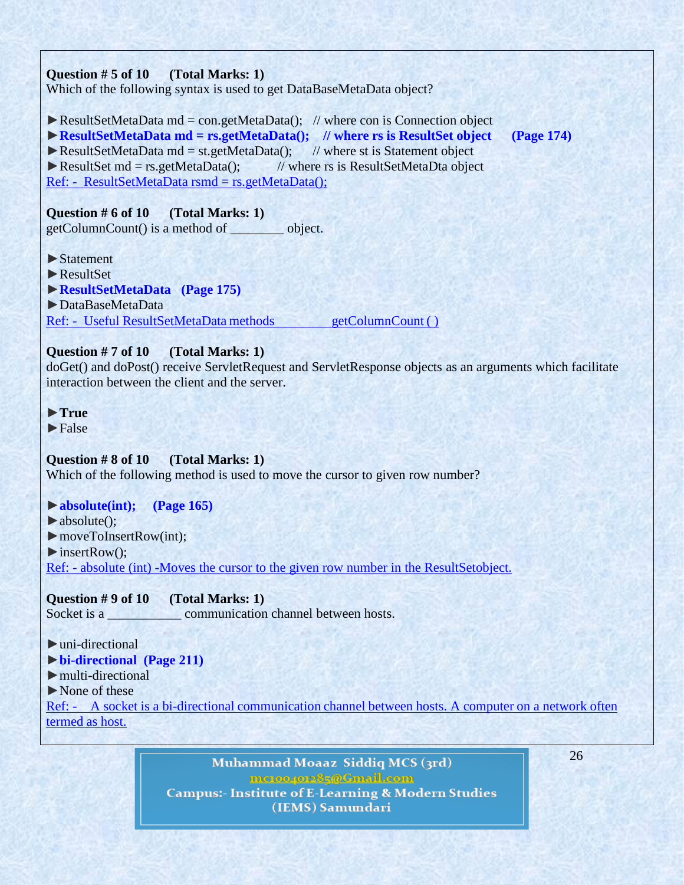### **Question # 5 of 10 (Total Marks: 1)**

Which of the following syntax is used to get DataBaseMetaData object?

 $\triangleright$  ResultSetMetaData md = con.getMetaData(); // where con is Connection object

►**ResultSetMetaData md = rs.getMetaData(); // where rs is ResultSet object (Page 174)**

 $\triangleright$  ResultSetMetaData md = st.getMetaData(); // where st is Statement object ► ResultSet md = rs.getMetaData(); // where rs is ResultSetMetaDta object

Ref: - ResultSetMetaData rsmd = rs.getMetaData();

### **Question # 6 of 10 (Total Marks: 1)**

getColumnCount() is a method of \_\_\_\_\_\_\_\_ object.

- ►Statement
- ►ResultSet
- ►**ResultSetMetaData (Page 175)**
- ►DataBaseMetaData

Ref: - Useful ResultSetMetaData methods getColumnCount ()

### **Question # 7 of 10 (Total Marks: 1)**

doGet() and doPost() receive ServletRequest and ServletResponse objects as an arguments which facilitate interaction between the client and the server.

- ►**True**
- $\blacktriangleright$ False

### **Question # 8 of 10 (Total Marks: 1)**

Which of the following method is used to move the cursor to given row number?

### ►**absolute(int); (Page 165)**

 $\blacktriangleright$  absolute(); ►moveToInsertRow(int); ►insertRow(); Ref: - absolute (int) -Moves the cursor to the given row number in the ResultSetobject.

### **Question # 9 of 10 (Total Marks: 1)**

Socket is a <u>communication</u> channel between hosts.

### $\blacktriangleright$ uni-directional

### ►**bi-directional (Page 211)**

- $\blacktriangleright$  multi-directional
- ►None of these

Ref: - A socket is a bi-directional communication channel between hosts. A computer on a network often termed as host.

> Muhammad Moaaz Siddiq MCS (3rd) mc.oope.e85@Gmail.com **Campus:- Institute of E-Learning & Modern Studies** (IEMS) Samundari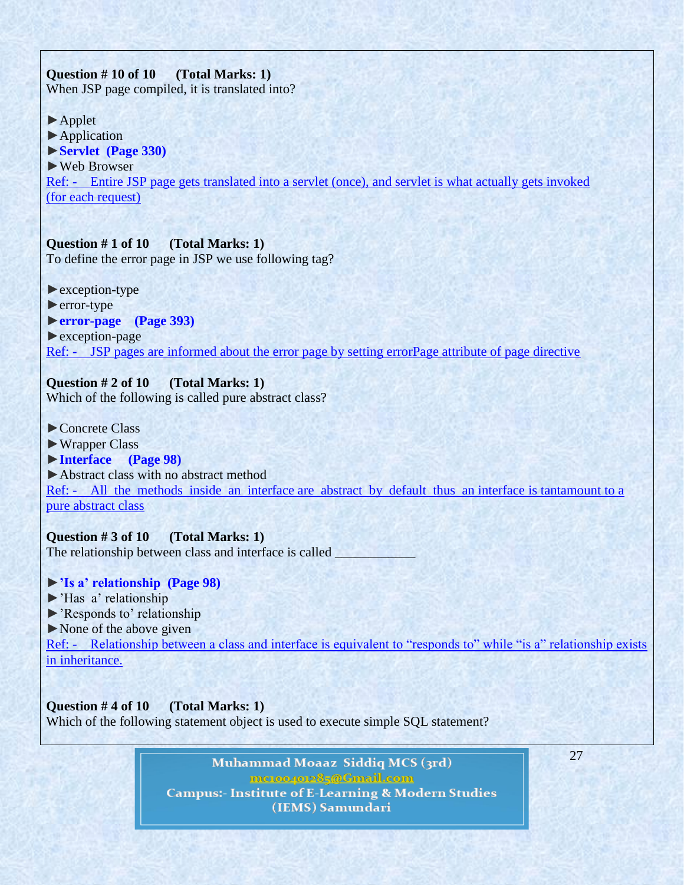# **Question # 10 of 10 (Total Marks: 1)**

When JSP page compiled, it is translated into?

- ►Applet
- ►Application
- ►**Servlet (Page 330)**
- ►Web Browser

Ref: - Entire JSP page gets translated into a servlet (once), and servlet is what actually gets invoked (for each request)

# **Question # 1 of 10 (Total Marks: 1)**

To define the error page in JSP we use following tag?

- ►exception-type
- ►error-type

# ►**error-page (Page 393)**

►exception-page

Ref: - JSP pages are informed about the error page by setting errorPage attribute of page directive

# **Question # 2 of 10 (Total Marks: 1)**

Which of the following is called pure abstract class?

- ►Concrete Class
- ►Wrapper Class
- ►**Interface (Page 98)**

►Abstract class with no abstract method Ref: - All the methods inside an interface are abstract by default thus an interface is tantamount to a pure abstract class

**Question # 3 of 10 (Total Marks: 1)** The relationship between class and interface is called \_

# ►**'Is a' relationship (Page 98)**

- ►'Has a' relationship
- ►'Responds to' relationship

 $\triangleright$  None of the above given

Ref: - Relationship between a class and interface is equivalent to "responds to" while "is a" relationship exists in inheritance.

**Question # 4 of 10 (Total Marks: 1)** Which of the following statement object is used to execute simple SOL statement?

> Muhammad Moaaz Siddiq MCS (3rd) metoopote85@Gmail.com **Campus:- Institute of E-Learning & Modern Studies** (IEMS) Samundari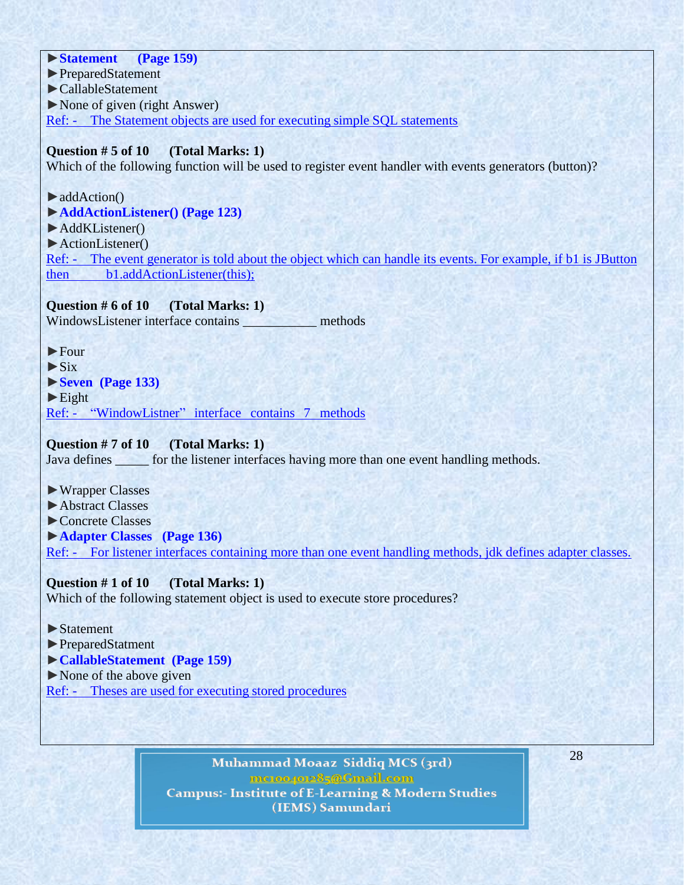►**Statement (Page 159)** ►PreparedStatement ►CallableStatement ►None of given (right Answer) Ref: - The Statement objects are used for executing simple SQL statements

### **Question # 5 of 10 (Total Marks: 1)**

Which of the following function will be used to register event handler with events generators (button)?

►addAction()

►**AddActionListener() (Page 123)**

►AddKListener()

►ActionListener()

Ref: - The event generator is told about the object which can handle its events. For example, if b1 is JButton then b1.addActionListener(this);

### **Question # 6 of 10 (Total Marks: 1)**

WindowsListener interface contains **methods** 

►Four

 $\blacktriangleright$  Six

►**Seven (Page 133)**

 $\blacktriangleright$  Eight

Ref: - "WindowListner" interface contains 7 methods

### **Question # 7 of 10 (Total Marks: 1)**

Java defines \_\_\_\_\_\_ for the listener interfaces having more than one event handling methods.

►Wrapper Classes

►Abstract Classes

►Concrete Classes

►**Adapter Classes (Page 136)**

Ref: - For listener interfaces containing more than one event handling methods, jdk defines adapter classes.

### **Question # 1 of 10 (Total Marks: 1)**

Which of the following statement object is used to execute store procedures?

### ►Statement

►PreparedStatment

- ►**CallableStatement (Page 159)**
- ►None of the above given

Ref: - Theses are used for executing stored procedures

Muhammad Moaaz Siddiq MCS (3rd) mc.compoz&5@Cmail.com **Campus:- Institute of E-Learning & Modern Studies** (IEMS) Samundari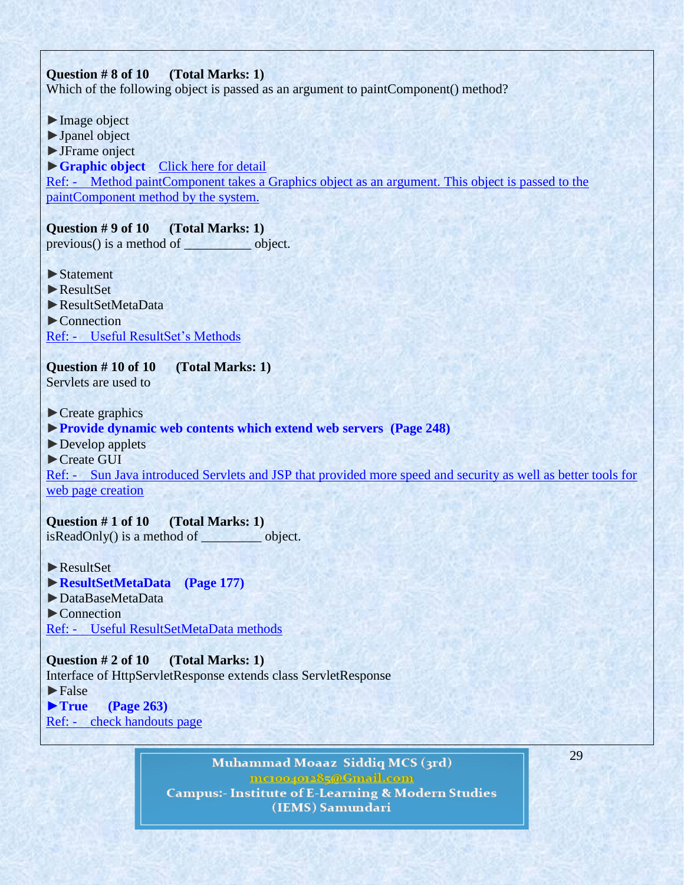### **Question # 8 of 10 (Total Marks: 1)**

Which of the following object is passed as an argument to paintComponent() method?

►Image object ►Jpanel object ►JFrame onject ►**Graphic object** [Click here for detail](http://books.google.com.pk/books?id=Xq9P8xly6iUC&pg=PA471&lpg=PA471&dq=object+is+passed+as+an+argument+to+paintComponent()+method&source=bl&ots=-AG5zHwGFf&sig=7bbJ7kHmD1Kplix5OGluvjiJl9k&hl=en&sa=X&ei=lejzT9blMYrU4QS72tnuBg&ved=0CFkQ6AEwBA#v=onepage&q) Ref: - Method paintComponent takes a Graphics object as an argument. This object is passed to the paintComponent method by the system.

### **Question # 9 of 10 (Total Marks: 1)**

previous() is a method of \_\_\_\_\_\_\_\_\_\_\_ object.

- ►Statement
- ►ResultSet
- ►ResultSetMetaData
- ►Connection
- Ref: Useful ResultSet's Methods

**Question # 10 of 10 (Total Marks: 1)** Servlets are used to

- $\blacktriangleright$  Create graphics
- ►**Provide dynamic web contents which extend web servers (Page 248)**
- ►Develop applets
- ►Create GUI

Ref: - Sun Java introduced Servlets and JSP that provided more speed and security as well as better tools for web page creation

### **Question # 1 of 10 (Total Marks: 1)**

isReadOnly() is a method of \_\_\_\_\_\_\_\_\_ object.

### ►ResultSet

- ►**ResultSetMetaData (Page 177)**
- ►DataBaseMetaData
- ►Connection
- Ref: Useful ResultSetMetaData methods

**Question # 2 of 10 (Total Marks: 1)** Interface of HttpServletResponse extends class ServletResponse  $\blacktriangleright$  False ►**True (Page 263)** Ref: - check handouts page

> Muhammad Moaaz Siddiq MCS (3rd) metoopote85@Gmail.com **Campus:- Institute of E-Learning & Modern Studies** (IEMS) Samundari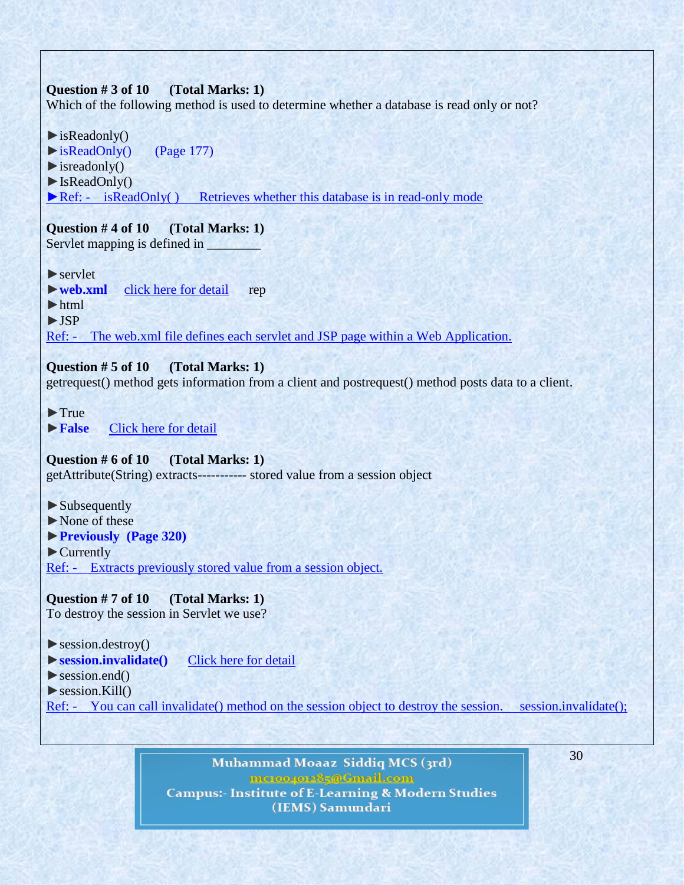### **Question # 3 of 10 (Total Marks: 1)**

Which of the following method is used to determine whether a database is read only or not?

- $\blacktriangleright$  is Readonly()
- ►isReadOnly() (Page 177)
- $\blacktriangleright$  isreadonly()
- $\blacktriangleright$  IsReadOnly()

 $\blacktriangleright$  Ref: - is ReadOnly( ) Retrieves whether this database is in read-only mode

**Question # 4 of 10 (Total Marks: 1)** Servlet mapping is defined in

 $\blacktriangleright$  servlet

►**web.xml** click here for [detail](http://www.adp-gmbh.ch/java/web_application/web_xml.html) rep

►html

►JSP

Ref: - The web.xml file defines each servlet and JSP page within a Web Application.

### **Question # 5 of 10 (Total Marks: 1)**

getrequest() method gets information from a client and postrequest() method posts data to a client.

►True

►**False** [Click here for detail](http://www.academictutorials.com/answers.asp?id=52)

**Question # 6 of 10 (Total Marks: 1)**

getAttribute(String) extracts----------- stored value from a session object

- ►Subsequently
- ►None of these
- ►**Previously (Page 320)**

►Currently Ref: - Extracts previously stored value from a session object.

**Question # 7 of 10 (Total Marks: 1)**

To destroy the session in Servlet we use?

 $\blacktriangleright$  session.destroy()

- ►**session.invalidate()** [Click here for detail](http://www.roseindia.net/interviewquestions/servlet/session-tracking.shtml)
- $\blacktriangleright$  session.end()
- $\triangleright$  session.Kill()

Ref: - You can call invalidate() method on the session object to destroy the session. session.invalidate();

Muhammad Moaaz Siddiq MCS (3rd) mc.oope.e85@Gmail.com **Campus:- Institute of E-Learning & Modern Studies** (IEMS) Samundari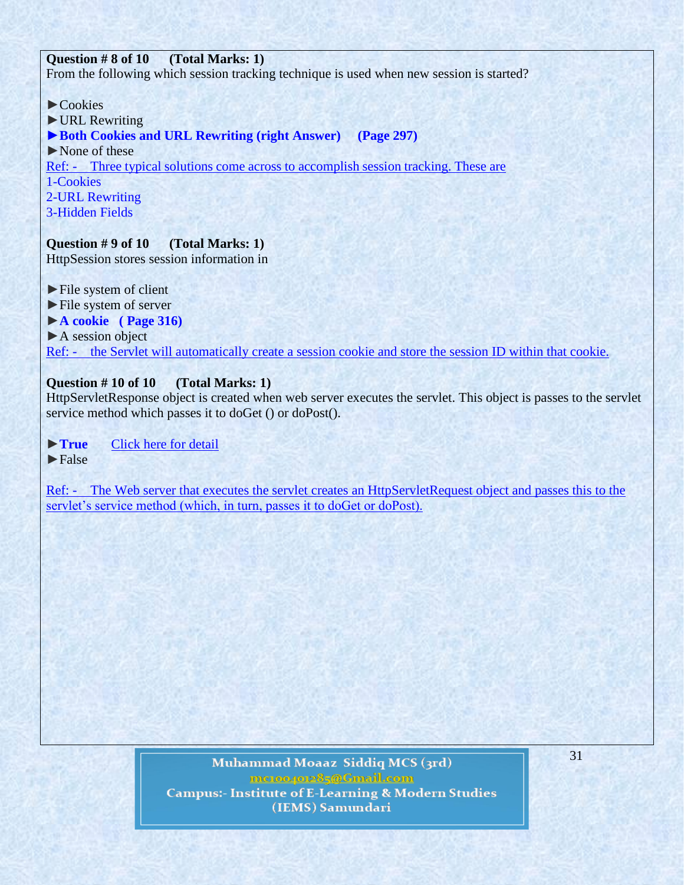### **Question # 8 of 10 (Total Marks: 1)**

From the following which session tracking technique is used when new session is started?

- ►Cookies
- ►URL Rewriting
- ►**Both Cookies and URL Rewriting (right Answer) (Page 297)**
- ►None of these

Ref: - Three typical solutions come across to accomplish session tracking. These are

- 1-Cookies
- 2-URL Rewriting
- 3-Hidden Fields

# **Question # 9 of 10 (Total Marks: 1)**

HttpSession stores session information in

- ►File system of client
- ►File system of server
- ►**A cookie ( Page 316)**
- ► A session object

Ref: - the Servlet will automatically create a session cookie and store the session ID within that cookie.

# **Question # 10 of 10 (Total Marks: 1)**

HttpServletResponse object is created when web server executes the servlet. This object is passes to the servlet service method which passes it to doGet () or doPost().

- ►**True** [Click here for detail](http://www.alnaja7.org/Programmer/393/servlet/Servlet_Overview_and_Architecture.htm)
- $\blacktriangleright$  False

Ref: - The Web server that executes the servlet creates an HttpServletRequest object and passes this to the servlet's service method (which, in turn, passes it to doGet or doPost).

> Muhammad Moaaz Siddiq MCS (3rd) metoopote85@Gmail.com **Campus:- Institute of E-Learning & Modern Studies** (IEMS) Samundari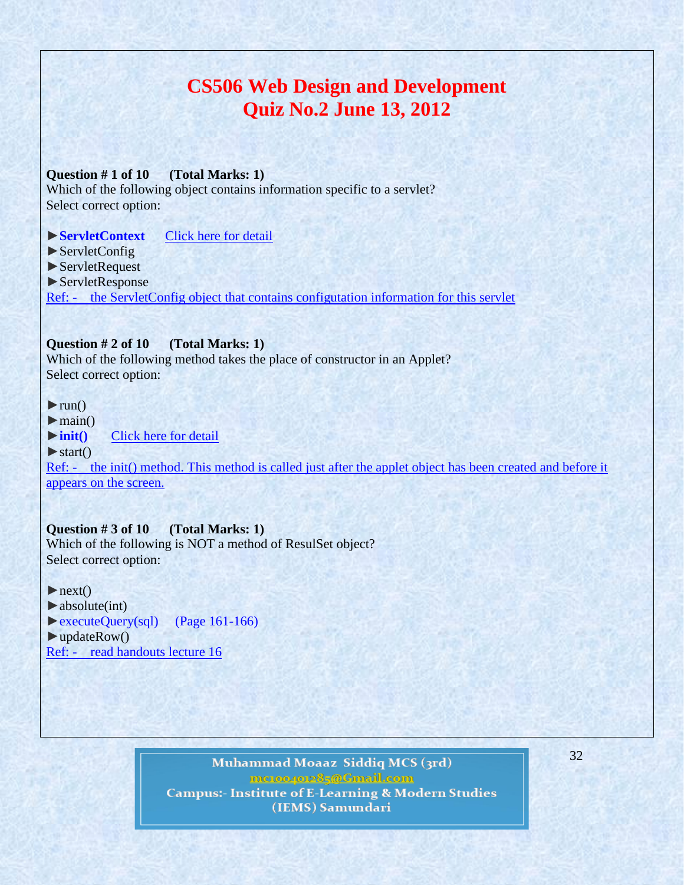# **CS506 Web Design and Development Quiz No.2 June 13, 2012**

### **Question # 1 of 10 (Total Marks: 1)**

Which of the following object contains information specific to a servlet? Select correct option:

### ►**ServletContext** [Click here for detail](http://docs.oracle.com/javaee/1.3/api/javax/servlet/GenericServlet.html)

- ► ServletConfig
- ►ServletRequest
- ►ServletResponse

Ref: - the ServletConfig object that contains configuration information for this servlet

### **Question # 2 of 10 (Total Marks: 1)**

Which of the following method takes the place of constructor in an Applet? Select correct option:

 $\blacktriangleright$ run()

 $\blacktriangleright$  main()

►**init()** [Click here for detail](http://math.hws.edu/eck/cs124/javanotes4/c6/s1.html)

### $\blacktriangleright$  start()

Ref: - the init() method. This method is called just after the applet object has been created and before it appears on the screen.

### **Question # 3 of 10 (Total Marks: 1)**

Which of the following is NOT a method of ResulSet object? Select correct option:

#### $\blacktriangleright$ next()

 $\blacktriangleright$  absolute(int) ►executeQuery(sql) (Page 161-166)  $\blacktriangleright$ updateRow() Ref: - read handouts lecture 16

> Muhammad Moaaz Siddiq MCS (3rd) mc.or/or85@Cmail.com **Campus:- Institute of E-Learning & Modern Studies** (IEMS) Samundari